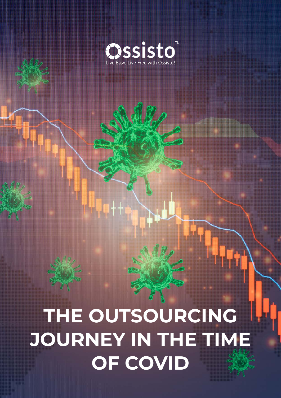

# **THE OUTSOURCING JOURNEY IN THE TIME OF COVID**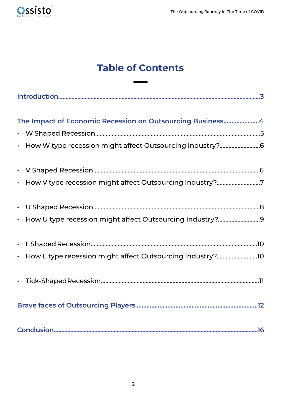

# **Table of Contents**

É

 $\overline{\phantom{0}}$ 

| The Impact of Economic Recession on Outsourcing Business4  |
|------------------------------------------------------------|
|                                                            |
| • How W type recession might affect Outsourcing Industry?6 |
|                                                            |
| · How V type recession might affect Outsourcing Industry?7 |
| $\bullet$                                                  |
| • How U type recession might affect Outsourcing Industry?9 |
|                                                            |
|                                                            |
|                                                            |
|                                                            |
|                                                            |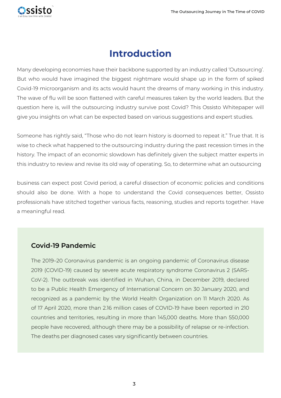<span id="page-2-0"></span>

# **Introduction**

Many developing economies have their backbone supported by an industry called 'Outsourcing'. But who would have imagined the biggest nightmare would shape up in the form of spiked Covid-19 microorganism and its acts would haunt the dreams of many working in this industry. The wave of flu will be soon flattened with careful measures taken by the world leaders. But the question here is, will the outsourcing industry survive post Covid? This Ossisto Whitepaper will give you insights on what can be expected based on various suggestions and expert studies.

Someone has rightly said, "Those who do not learn history is doomed to repeat it." True that. It is wise to check what happened to the outsourcing industry during the past recession times in the history. The impact of an economic slowdown has definitely given the subject matter experts in this industry to review and revise its old way of operating. So, to determine what an outsourcing

business can expect post Covid period, a careful dissection of economic policies and conditions should also be done. With a hope to understand the Covid consequences better, Ossisto professionals have stitched together various facts, reasoning, studies and reports together. Have a meaningful read.

#### **Covid-19 Pandemic**

The 2019–20 Coronavirus pandemic is an ongoing pandemic of Coronavirus disease 2019 (COVID-19) caused by severe acute respiratory syndrome Coronavirus 2 (SARS-CoV-2). The outbreak was identified in Wuhan, China, in December 2019, declared to be a Public Health Emergency of International Concern on 30 January 2020, and recognized as a pandemic by the World Health Organization on 11 March 2020. As of 17 April 2020, more than 2.16 million cases of COVID-19 have been reported in 210 countries and territories, resulting in more than 145,000 deaths. More than 550,000 people have recovered, although there may be a possibility of relapse or re-infection. The deaths per diagnosed cases vary significantly between countries.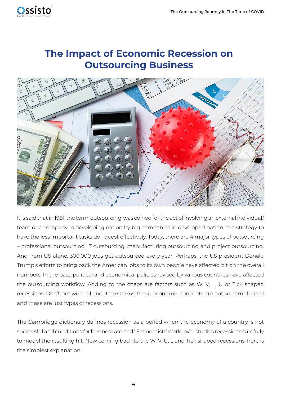<span id="page-3-0"></span>

## **The Impact of Economic Recession on Outsourcing Business**



It is said that in 1981, the term 'outsourcing' was coined for the act of involving an external individual/ team or a company in developing nation by big companies in developed nation as a strategy to have the less important tasks done cost effectively. Today, there are 4 major types of outsourcing – professional outsourcing, IT outsourcing, manufacturing outsourcing and project outsourcing. And from US alone, 300,000 jobs get outsourced every year. Perhaps, the US president Donald Trump's efforts to bring back the American jobs to its own people have affected bit on the overall numbers. In the past, political and economical policies revised by various countries have affected the outsourcing workflow. Adding to the chaos are factors such as W, V, L, U or Tick shaped recessions. Don't get worried about the terms, these economic concepts are not so complicated and these are just types of recessions.

The Cambridge dictionary defines recession as a period when the economy of a country is not successful and conditions for business are bad.' Economists' world over studies recessions carefully to model the resulting hit. Now coming back to the W, V, U, L and Tick shaped recessions, here is the simplest explanation.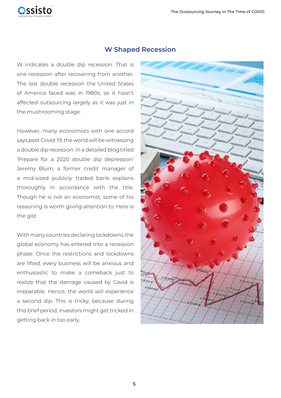<span id="page-4-0"></span>

#### **W Shaped Recession**

W indicates a double dip recession. That is one recession after recovering from another. The last double recession the United States of America faced was in 1980s, so it hasn't affected outsourcing largely as it was just in the mushrooming stage.

However, many economists with one accord says post Covid-19, the world will be witnessing a double dip recession. In a detailed blog titled 'Prepare for a 2020 double dip depression' Jeremy Blum, a former credit manager of a mid-sized publicly traded bank explains thoroughly in accordance with the title. Though he is not an economist, some of his reasoning is worth giving attention to. Here is the gist:

With many countries declaring lockdowns, the global economy has entered into a recession phase. Once the restrictions and lockdowns are lifted, every business will be anxious and enthusiastic to make a comeback just to realize that the damage caused by Covid is irreparable. Hence, the world will experience a second dip. This is tricky, because during this brief period, investors might get tricked in getting back in too early.

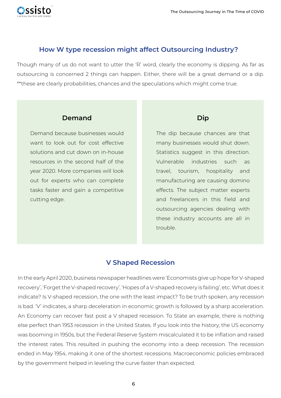#### <span id="page-5-0"></span>**How W type recession might affect Outsourcing Industry?**

Though many of us do not want to utter the 'R' word, clearly the economy is dipping. As far as outsourcing is concerned 2 things can happen. Either, there will be a great demand or a dip. \*\*these are clearly probabilities, chances and the speculations which might come true.

#### **Demand**

Demand because businesses would want to look out for cost effective solutions and cut down on in-house resources in the second half of the year 2020. More companies will look out for experts who can complete tasks faster and gain a competitive cutting edge.

## **Dip**

The dip because chances are that many businesses would shut down. Statistics suggest in this direction. Vulnerable industries such as travel, tourism, hospitality and manufacturing are causing domino effects. The subject matter experts and freelancers in this field and outsourcing agencies dealing with these industry accounts are all in trouble.

## **V Shaped Recession**

In the early April 2020, business newspaper headlines were 'Economists give up hope for V-shaped recovery', 'Forget the V-shaped recovery', 'Hopes of a V-shaped recovery is failing', etc. What does it indicate? Is V-shaped recession, the one with the least impact? To be truth spoken, any recession is bad. 'V' indicates, a sharp deceleration in economic growth is followed by a sharp acceleration. An Economy can recover fast post a V shaped recession. To State an example, there is nothing else perfect than 1953 recession in the United States. If you look into the history, the US economy was booming in 1950s, but the Federal Reserve System miscalculated it to be inflation and raised the interest rates. This resulted in pushing the economy into a deep recession. The recession ended in May 1954, making it one of the shortest recessions. Macroeconomic policies embraced by the government helped in leveling the curve faster than expected.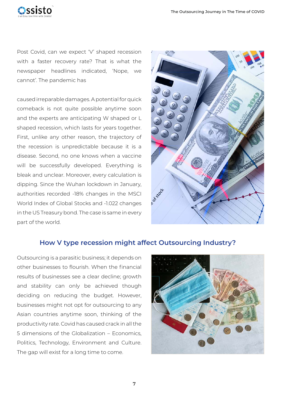<span id="page-6-0"></span>

Post Covid, can we expect 'V' shaped recession with a faster recovery rate? That is what the newspaper headlines indicated, 'Nope, we cannot'. The pandemic has

caused irreparable damages. A potential for quick comeback is not quite possible anytime soon and the experts are anticipating W shaped or L shaped recession, which lasts for years together. First, unlike any other reason, the trajectory of the recession is unpredictable because it is a disease. Second, no one knows when a vaccine will be successfully developed. Everything is bleak and unclear. Moreover, every calculation is dipping. Since the Wuhan lockdown in January, authorities recorded -18% changes in the MSCI World Index of Global Stocks and -1.022 changes in the US Treasury bond. The case is same in every part of the world.



#### **How V type recession might affect Outsourcing Industry?**

Outsourcing is a parasitic business; it depends on other businesses to flourish. When the financial results of businesses see a clear decline; growth and stability can only be achieved though deciding on reducing the budget. However, businesses might not opt for outsourcing to any Asian countries anytime soon, thinking of the productivity rate. Covid has caused crack in all the 5 dimensions of the Globalization – Economics, Politics, Technology, Environment and Culture. The gap will exist for a long time to come.

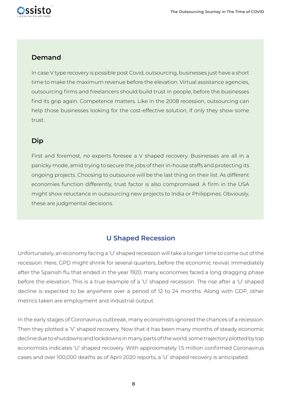<span id="page-7-0"></span>

#### **Demand**

In case V type recovery is possible post Covid, outsourcing, businesses just have a short time to make the maximum revenue before the elevation. Virtual assistance agencies, outsourcing firms and freelancers should build trust in people, before the businesses find its grip again. Competence matters. Like in the 2008 recession, outsourcing can help those businesses looking for the cost-effective solution, if only they show some trust.

#### **Dip**

First and foremost, no experts foresee a V shaped recovery. Businesses are all in a panicky mode, amid trying to secure the jobs of their in-house staffs and protecting its ongoing projects. Choosing to outsource will be the last thing on their list. As different economies function differently, trust factor is also compromised. A firm in the USA might show reluctance in outsourcing new projects to India or Philippines. Obviously, these are judgmental decisions.

#### **U Shaped Recession**

Unfortunately, an economy facing a 'U' shaped recession will take a longer time to come out of the recession. Here, GPD might shrink for several quarters, before the economic revival. Immediately after the Spanish flu that ended in the year 1920, many economies faced a long dragging phase before the elevation. This is a true example of a 'U' shaped recession. The rise after a 'U' shaped decline is expected to be anywhere over a period of 12 to 24 months. Along with GDP, other metrics taken are employment and industrial output.

In the early stages of Coronavirus outbreak, many economists ignored the chances of a recession. Then they plotted a 'V' shaped recovery. Now that it has been many months of steady economic decline due to shutdowns and lockdowns in many parts of the world, some trajectory plotted by top economists indicates 'U' shaped recovery. With approximately 1.5 million confirmed Coronavirus cases and over 100,000 deaths as of April 2020 reports, a 'U' shaped recovery is anticipated.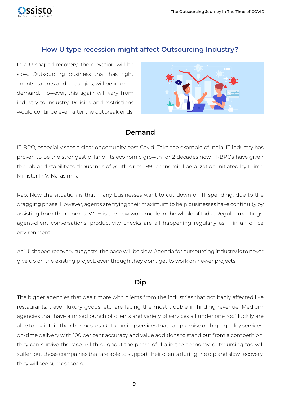#### **How U type recession might affect Outsourcing Industry?**

In a U shaped recovery, the elevation will be slow. Outsourcing business that has right agents, talents and strategies, will be in great demand. However, this again will vary from industry to industry. Policies and restrictions would continue even after the outbreak ends.

<span id="page-8-0"></span>issisto



#### **Demand**

IT-BPO, especially sees a clear opportunity post Covid. Take the example of India. IT industry has proven to be the strongest pillar of its economic growth for 2 decades now. IT-BPOs have given the job and stability to thousands of youth since 1991 economic liberalization initiated by Prime Minister P. V. Narasimha

Rao. Now the situation is that many businesses want to cut down on IT spending, due to the dragging phase. However, agents are trying their maximum to help businesses have continuity by assisting from their homes. WFH is the new work mode in the whole of India. Regular meetings, agent-client conversations, productivity checks are all happening regularly as if in an office environment.

As 'U' shaped recovery suggests, the pace will be slow. Agenda for outsourcing industry is to never give up on the existing project, even though they don't get to work on newer projects

#### **Dip**

The bigger agencies that dealt more with clients from the industries that got badly affected like restaurants, travel, luxury goods, etc. are facing the most trouble in finding revenue. Medium agencies that have a mixed bunch of clients and variety of services all under one roof luckily are able to maintain their businesses. Outsourcing services that can promise on high-quality services, on-time delivery with 100 per cent accuracy and value additions to stand out from a competition, they can survive the race. All throughout the phase of dip in the economy, outsourcing too will suffer, but those companies that are able to support their clients during the dip and slow recovery, they will see success soon.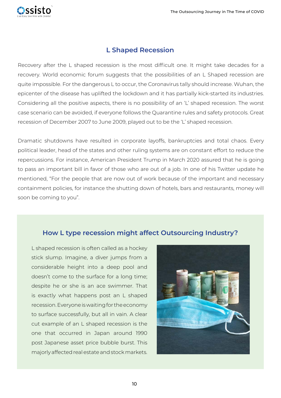

<span id="page-9-0"></span>assisto

Recovery after the L shaped recession is the most difficult one. It might take decades for a recovery. World economic forum suggests that the possibilities of an L Shaped recession are quite impossible. For the dangerous L to occur, the Coronavirus tally should increase. Wuhan, the epicenter of the disease has uplifted the lockdown and it has partially kick-started its industries. Considering all the positive aspects, there is no possibility of an 'L' shaped recession. The worst case scenario can be avoided, if everyone follows the Quarantine rules and safety protocols. Great recession of December 2007 to June 2009, played out to be the 'L' shaped recession.

Dramatic shutdowns have resulted in corporate layoffs, bankruptcies and total chaos. Every political leader, head of the states and other ruling systems are on constant effort to reduce the repercussions. For instance, American President Trump in March 2020 assured that he is going to pass an important bill in favor of those who are out of a job. In one of his Twitter update he mentioned, "For the people that are now out of work because of the important and necessary containment policies, for instance the shutting down of hotels, bars and restaurants, money will soon be coming to you".

#### **How L type recession might affect Outsourcing Industry?**

L shaped recession is often called as a hockey stick slump. Imagine, a diver jumps from a considerable height into a deep pool and doesn't come to the surface for a long time; despite he or she is an ace swimmer. That is exactly what happens post an L shaped recession. Everyone is waiting for the economy to surface successfully, but all in vain. A clear cut example of an L shaped recession is the one that occurred in Japan around 1990 post Japanese asset price bubble burst. This majorly affected real estate and stock markets.

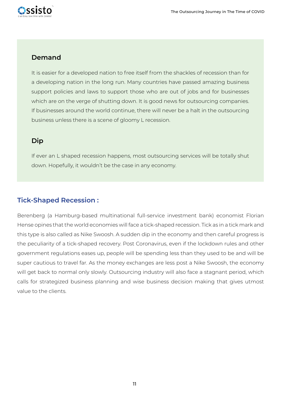<span id="page-10-0"></span>

#### **Demand**

It is easier for a developed nation to free itself from the shackles of recession than for a developing nation in the long run. Many countries have passed amazing business support policies and laws to support those who are out of jobs and for businesses which are on the verge of shutting down. It is good news for outsourcing companies. If businesses around the world continue, there will never be a halt in the outsourcing business unless there is a scene of gloomy L recession.

#### **Dip**

If ever an L shaped recession happens, most outsourcing services will be totally shut down. Hopefully, it wouldn't be the case in any economy.

#### **Tick-Shaped Recession :**

Berenberg (a Hamburg-based multinational full-service investment bank) economist Florian Hense opines that the world economies will face a tick-shaped recession. Tick as in a tick mark and this type is also called as Nike Swoosh. A sudden dip in the economy and then careful progress is the peculiarity of a tick-shaped recovery. Post Coronavirus, even if the lockdown rules and other government regulations eases up, people will be spending less than they used to be and will be super cautious to travel far. As the money exchanges are less post a Nike Swoosh, the economy will get back to normal only slowly. Outsourcing industry will also face a stagnant period, which calls for strategized business planning and wise business decision making that gives utmost value to the clients.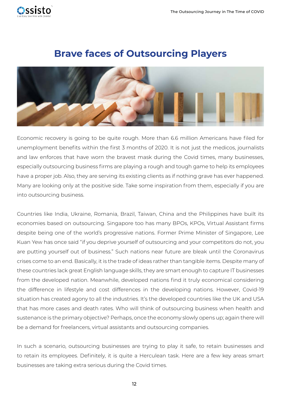<span id="page-11-0"></span>

## **Brave faces of Outsourcing Players**



Economic recovery is going to be quite rough. More than 6.6 million Americans have filed for unemployment benefits within the first 3 months of 2020. It is not just the medicos, journalists and law enforces that have worn the bravest mask during the Covid times, many businesses, especially outsourcing business firms are playing a rough and tough game to help its employees have a proper job. Also, they are serving its existing clients as if nothing grave has ever happened. Many are looking only at the positive side. Take some inspiration from them, especially if you are into outsourcing business.

Countries like India, Ukraine, Romania, Brazil, Taiwan, China and the Philippines have built its economies based on outsourcing. Singapore too has many BPOs, KPOs, Virtual Assistant firms despite being one of the world's progressive nations. Former Prime Minister of Singapore, Lee Kuan Yew has once said "if you deprive yourself of outsourcing and your competitors do not, you are putting yourself out of business." Such nations near future are bleak until the Coronavirus crises come to an end. Basically, it is the trade of ideas rather than tangible items. Despite many of these countries lack great English language skills, they are smart enough to capture IT businesses from the developed nation. Meanwhile, developed nations find it truly economical considering the difference in lifestyle and cost differences in the developing nations. However, Covid-19 situation has created agony to all the industries. It's the developed countries like the UK and USA that has more cases and death rates. Who will think of outsourcing business when health and sustenance is the primary objective? Perhaps, once the economy slowly opens up; again there will be a demand for freelancers, virtual assistants and outsourcing companies.

In such a scenario, outsourcing businesses are trying to play it safe, to retain businesses and to retain its employees. Definitely, it is quite a Herculean task. Here are a few key areas smart businesses are taking extra serious during the Covid times.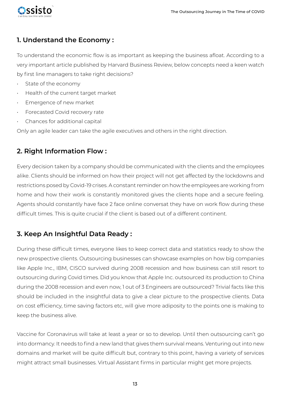

### **1. Understand the Economy :**

To understand the economic flow is as important as keeping the business afloat. According to a very important article published by Harvard Business Review, below concepts need a keen watch by first line managers to take right decisions?

- State of the economy
- Health of the current target market
- Emergence of new market
- Forecasted Covid recovery rate
- Chances for additional capital

Only an agile leader can take the agile executives and others in the right direction.

#### **2. Right Information Flow :**

Every decision taken by a company should be communicated with the clients and the employees alike. Clients should be informed on how their project will not get affected by the lockdowns and restrictions posed by Covid-19 crises. A constant reminder on how the employees are working from home and how their work is constantly monitored gives the clients hope and a secure feeling. Agents should constantly have face 2 face online conversat they have on work flow during these difficult times. This is quite crucial if the client is based out of a different continent.

## **3. Keep An Insightful Data Ready :**

During these difficult times, everyone likes to keep correct data and statistics ready to show the new prospective clients. Outsourcing businesses can showcase examples on how big companies like Apple Inc., IBM, CISCO survived during 2008 recession and how business can still resort to outsourcing during Covid times. Did you know that Apple Inc. outsourced its production to China during the 2008 recession and even now, 1 out of 3 Engineers are outsourced? Trivial facts like this should be included in the insightful data to give a clear picture to the prospective clients. Data on cost efficiency, time saving factors etc, will give more adiposity to the points one is making to keep the business alive.

Vaccine for Coronavirus will take at least a year or so to develop. Until then outsourcing can't go into dormancy. It needs to find a new land that gives them survival means. Venturing out into new domains and market will be quite difficult but, contrary to this point, having a variety of services might attract small businesses. Virtual Assistant firms in particular might get more projects.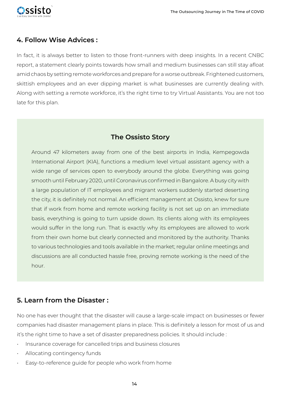

#### **4. Follow Wise Advices :**

In fact, it is always better to listen to those front-runners with deep insights. In a recent CNBC report, a statement clearly points towards how small and medium businesses can still stay afloat amid chaos by setting remote workforces and prepare for a worse outbreak. Frightened customers, skittish employees and an ever dipping market is what businesses are currently dealing with. Along with setting a remote workforce, it's the right time to try Virtual Assistants. You are not too late for this plan.

#### **The Ossisto Story**

Around 47 kilometers away from one of the best airports in India, Kempegowda International Airport (KIA), functions a medium level virtual assistant agency with a wide range of services open to everybody around the globe. Everything was going smooth until February 2020, until Coronavirus confirmed in Bangalore. A busy city with a large population of IT employees and migrant workers suddenly started deserting the city, it is definitely not normal. An efficient management at Ossisto, knew for sure that if work from home and remote working facility is not set up on an immediate basis, everything is going to turn upside down. Its clients along with its employees would suffer in the long run. That is exactly why its employees are allowed to work from their own home but clearly connected and monitored by the authority. Thanks to various technologies and tools available in the market; regular online meetings and discussions are all conducted hassle free, proving remote working is the need of the hour.

#### **5. Learn from the Disaster :**

No one has ever thought that the disaster will cause a large-scale impact on businesses or fewer companies had disaster management plans in place. This is definitely a lesson for most of us and it's the right time to have a set of disaster preparedness policies. It should include :

- Insurance coverage for cancelled trips and business closures
- Allocating contingency funds
- Easy-to-reference guide for people who work from home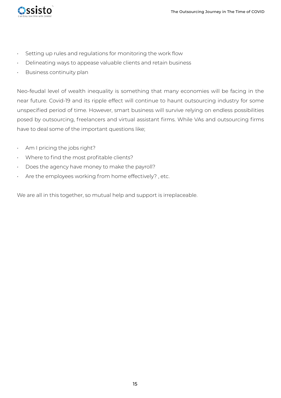

- Setting up rules and regulations for monitoring the work flow
- Delineating ways to appease valuable clients and retain business
- Business continuity plan

Neo-feudal level of wealth inequality is something that many economies will be facing in the near future. Covid-19 and its ripple effect will continue to haunt outsourcing industry for some unspecified period of time. However, smart business will survive relying on endless possibilities posed by outsourcing, freelancers and virtual assistant firms. While VAs and outsourcing firms have to deal some of the important questions like;

- Am I pricing the jobs right?
- Where to find the most profitable clients?
- Does the agency have money to make the payroll?
- Are the employees working from home effectively?, etc.

We are all in this together, so mutual help and support is irreplaceable.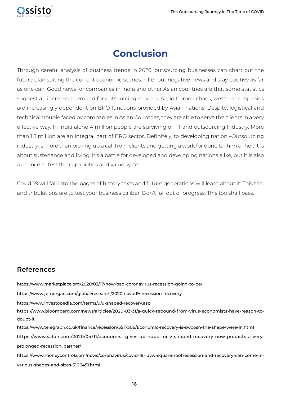<span id="page-15-0"></span>

# **Conclusion**

Through careful analysis of business trends in 2020, outsourcing businesses can chart out the future plan suiting the current economic scenes. Filter out negative news and stay positive as far as one can. Good news for companies in India and other Asian countries are that some statistics suggest an increased demand for outsourcing services. Amid Corona chaos, western companies are increasingly dependent on BPO functions provided by Asian nations. Despite, logistical and technical trouble faced by companies in Asian Countries, they are able to serve the clients in a very effective way. In India alone 4 million people are surviving on IT and outsourcing Industry. More than 1.3 million are an integral part of BPO sector. Definitely, to developing nation –Outsourcing industry is more than picking up a call from clients and getting a work for done for him or her. It is about sustenance and living. It's a battle for developed and developing nations alike, but it is also a chance to test the capabilities and value system.

Covid-19 will fall into the pages of history texts and future generations will learn about it. This trial and tribulations are to test your business caliber. Don't fall out of progress. This too shall pass.

#### **References**

https://www.marketplace.org/2020/03/17/how-bad-coronavirus-recession-going-to-be/ https://www.jpmorgan.com/global/research/2020-covid19-recession-recovery https://www.investopedia.com/terms/u/u-shaped-recovery.asp https://www.bloomberg.com/news/articles/2020-03-31/a-quick-rebound-from-virus-economists-have-reason-todoubt-it https://www.telegraph.co.uk/finance/recession/5517306/Economic-recovery-is-swoosh-the-shape-were-in.html https: //www.salon.com/2020/04/11/economist-gives-up-hope-for-v-shaped-recovery-now-predicts-a-veryprolonged-recession\_partner/ https://www.moneycontrol.com/news/coronavirus/covid-19-luvw-square-rootrecession-and-recovery-can-come-invarious-shapes-and-sizes-5106451.html